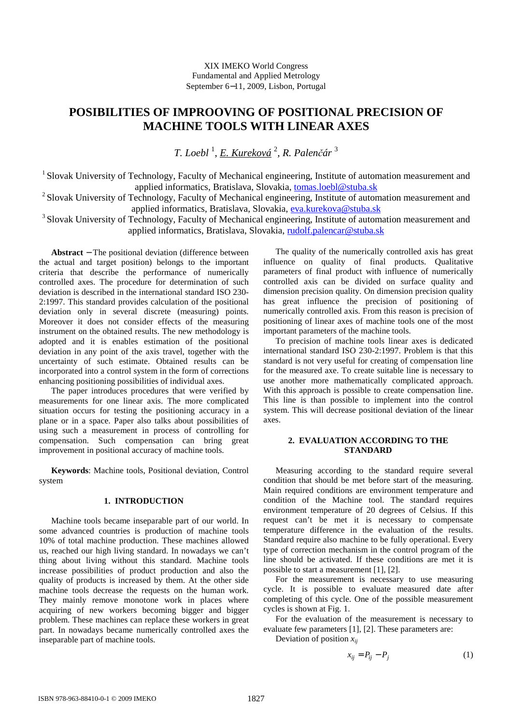XIX IMEKO World Congress Fundamental and Applied Metrology September 6−11, 2009, Lisbon, Portugal

# **POSIBILITIES OF IMPROOVING OF POSITIONAL PRECISION OF MACHINE TOOLS WITH LINEAR AXES**

*T. Loebl* <sup>1</sup> , *E. Kureková* <sup>2</sup> *, R. Palenčár* <sup>3</sup>

<sup>1</sup> Slovak University of Technology, Faculty of Mechanical engineering, Institute of automation measurement and applied informatics, Bratislava, Slovakia, tomas.loebl@stuba.sk

<sup>2</sup> Slovak University of Technology, Faculty of Mechanical engineering, Institute of automation measurement and applied informatics, Bratislava, Slovakia, eva.kurekova@stuba.sk

<sup>3</sup> Slovak University of Technology, Faculty of Mechanical engineering, Institute of automation measurement and applied informatics, Bratislava, Slovakia, rudolf.palencar@stuba.sk

**Abstract** − The positional deviation (difference between the actual and target position) belongs to the important criteria that describe the performance of numerically controlled axes. The procedure for determination of such deviation is described in the international standard ISO 230- 2:1997. This standard provides calculation of the positional deviation only in several discrete (measuring) points. Moreover it does not consider effects of the measuring instrument on the obtained results. The new methodology is adopted and it is enables estimation of the positional deviation in any point of the axis travel, together with the uncertainty of such estimate. Obtained results can be incorporated into a control system in the form of corrections enhancing positioning possibilities of individual axes.

The paper introduces procedures that were verified by measurements for one linear axis. The more complicated situation occurs for testing the positioning accuracy in a plane or in a space. Paper also talks about possibilities of using such a measurement in process of controlling for compensation. Such compensation can bring great improvement in positional accuracy of machine tools.

**Keywords**: Machine tools, Positional deviation, Control system

# **1. INTRODUCTION**

Machine tools became inseparable part of our world. In some advanced countries is production of machine tools 10% of total machine production. These machines allowed us, reached our high living standard. In nowadays we can't thing about living without this standard. Machine tools increase possibilities of product production and also the quality of products is increased by them. At the other side machine tools decrease the requests on the human work. They mainly remove monotone work in places where acquiring of new workers becoming bigger and bigger problem. These machines can replace these workers in great part. In nowadays became numerically controlled axes the inseparable part of machine tools.

The quality of the numerically controlled axis has great influence on quality of final products. Qualitative parameters of final product with influence of numerically controlled axis can be divided on surface quality and dimension precision quality. On dimension precision quality has great influence the precision of positioning of numerically controlled axis. From this reason is precision of positioning of linear axes of machine tools one of the most important parameters of the machine tools.

To precision of machine tools linear axes is dedicated international standard ISO 230-2:1997. Problem is that this standard is not very useful for creating of compensation line for the measured axe. To create suitable line is necessary to use another more mathematically complicated approach. With this approach is possible to create compensation line. This line is than possible to implement into the control system. This will decrease positional deviation of the linear axes.

## **2. EVALUATION ACCORDING TO THE STANDARD**

Measuring according to the standard require several condition that should be met before start of the measuring. Main required conditions are environment temperature and condition of the Machine tool. The standard requires environment temperature of 20 degrees of Celsius. If this request can't be met it is necessary to compensate temperature difference in the evaluation of the results. Standard require also machine to be fully operational. Every type of correction mechanism in the control program of the line should be activated. If these conditions are met it is possible to start a measurement [1], [2].

For the measurement is necessary to use measuring cycle. It is possible to evaluate measured date after completing of this cycle. One of the possible measurement cycles is shown at Fig. 1.

For the evaluation of the measurement is necessary to evaluate few parameters [1], [2]. These parameters are:

Deviation of position *xij* 

$$
x_{ij} = P_{ij} - P_j \tag{1}
$$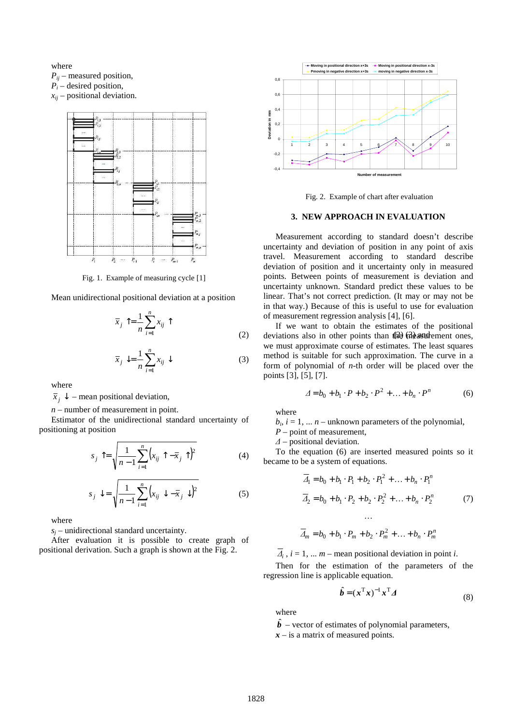where *Pij* – measured position,  $P_i$  – desired position, *xij* – positional deviation.



Fig. 1. Example of measuring cycle [1]

Mean unidirectional positional deviation at a position

$$
\overline{x}_j \uparrow = \frac{1}{n} \sum_{i=1}^n x_{ij} \uparrow
$$

$$
\bar{x}_j \downarrow = \frac{1}{n} \sum_{i=1}^n x_{ij} \downarrow \tag{3}
$$

where

 $\overline{x}_i \downarrow$  – mean positional deviation,

*n* – number of measurement in point.

Estimator of the unidirectional standard uncertainty of positioning at position

$$
s_j \uparrow = \sqrt{\frac{1}{n-1} \sum_{i=1}^{n} (x_{ij} \uparrow -\overline{x}_j \uparrow)^2}
$$
 (4)

$$
s_j \downarrow = \sqrt{\frac{1}{n-1} \sum_{i=1}^{n} (x_{ij} \downarrow -\bar{x}_j \downarrow)^2}
$$
 (5)

where

*sj* – unidirectional standard uncertainty.

After evaluation it is possible to create graph of positional derivation. Such a graph is shown at the Fig. 2.



Fig. 2. Example of chart after evaluation

## **3. NEW APPROACH IN EVALUATION**

Measurement according to standard doesn't describe uncertainty and deviation of position in any point of axis travel. Measurement according to standard describe deviation of position and it uncertainty only in measured points. Between points of measurement is deviation and uncertainty unknown. Standard predict these values to be linear. That's not correct prediction. (It may or may not be in that way.) Because of this is useful to use for evaluation of measurement regression analysis [4], [6].

(2) deviations also in other points than  $\mathbb{Q}$   $\mathbb{Q}$   $\mathbb{Q}$   $\mathbb{Q}$   $\mathbb{Q}$   $\mathbb{Q}$   $\mathbb{Q}$   $\mathbb{Q}$   $\mathbb{Q}$   $\mathbb{Q}$   $\mathbb{Q}$   $\mathbb{Q}$   $\mathbb{Q}$   $\mathbb{Q}$   $\mathbb{Q}$   $\mathbb{Q}$   $\mathbb{Q}$   $\mathbb{Q}$   $\mathbb{Q}$   $\mathbb{Q}$  If we want to obtain the estimates of the positional we must approximate course of estimates. The least squares method is suitable for such approximation. The curve in a form of polynomial of *n*-th order will be placed over the points [3], [5], [7].

$$
\Delta = b_0 + b_1 \cdot P + b_2 \cdot P^2 + \dots + b_n \cdot P^n \tag{6}
$$

where

 $b_i$ ,  $i = 1, \ldots n$  – unknown parameters of the polynomial,

*P* – point of measurement,

*∆* – positional deviation.

To the equation (6) are inserted measured points so it became to be a system of equations.

$$
\overline{A}_1 = b_0 + b_1 \cdot P_1 + b_2 \cdot P_1^2 + \dots + b_n \cdot P_1^n
$$
  

$$
\overline{A}_2 = b_0 + b_1 \cdot P_2 + b_2 \cdot P_2^2 + \dots + b_n \cdot P_2^n
$$
 (7)

$$
\overline{\mathcal{A}}_m = b_0 + b_1 \cdot P_m + b_2 \cdot P_m^2 + \dots + b_n \cdot P_m^n
$$

 $\overline{\lambda}_i$ , *i* = 1, ... *m* – mean positional deviation in point *i*.

Then for the estimation of the parameters of the regression line is applicable equation.

$$
\hat{b} = (x^{\mathrm{T}}x)^{-1}x^{\mathrm{T}}\varDelta
$$
\n(8)

where

 $\hat{b}$  – vector of estimates of polynomial parameters,

*x* – is a matrix of measured points.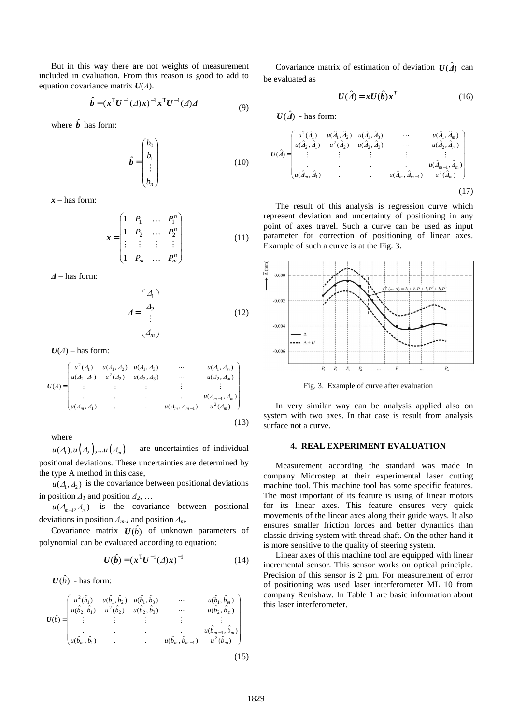But in this way there are not weights of measurement included in evaluation. From this reason is good to add to equation covariance matrix  $U(\Delta)$ .

$$
\hat{\boldsymbol{b}} = (\boldsymbol{x}^{\mathrm{T}} \boldsymbol{U}^{-1} (\boldsymbol{\varDelta}) \boldsymbol{x})^{-1} \boldsymbol{x}^{\mathrm{T}} \boldsymbol{U}^{-1} (\boldsymbol{\varDelta}) \boldsymbol{\varDelta}
$$
\n(9)

where  $\hat{b}$  has form:

$$
\hat{\boldsymbol{b}} = \begin{pmatrix} b_0 \\ b_1 \\ \vdots \\ b_n \end{pmatrix}
$$
 (10)

*x* – has form:

$$
\mathbf{x} = \begin{pmatrix} 1 & P_1 & \dots & P_1^n \\ 1 & P_2 & \dots & P_2^n \\ \vdots & \vdots & \vdots & \vdots \\ 1 & P_m & \dots & P_m^n \end{pmatrix}
$$
 (11)

*∆* – has form:

$$
\mathbf{A} = \begin{pmatrix} A_1 \\ A_2 \\ \vdots \\ A_m \end{pmatrix} \tag{12}
$$

 $U(\Delta)$  – has form:

$$
U(\Delta) = \begin{pmatrix} u^2(A_1) & u(A_1, A_2) & u(A_1, A_3) & \cdots & u(A_1, A_m) \\ u(A_2, A_1) & u^2(A_2) & u(A_2, A_3) & \cdots & u(A_2, A_m) \\ \vdots & \vdots & \vdots & \vdots & \vdots \\ u(A_m, A_1) & \cdots & u(A_m, A_{m-1}) & u^2(A_m) \end{pmatrix}
$$
\n(13)

where

 $u(\Lambda_1), u(\Lambda_2), \ldots, u(\Lambda_m)$  – are uncertainties of individual positional deviations. These uncertainties are determined by the type A method in this case,

 $u(\Delta, \Delta)$  is the covariance between positional deviations in position  $\Delta_1$  and position  $\Delta_2$ , …

 $u(\Lambda_{m-1}, \Lambda_m)$  is the covariance between positional deviations in position  $\Delta_{m-1}$  and position  $\Delta_m$ .

Covariance matrix  $U(\hat{b})$  of unknown parameters of polynomial can be evaluated according to equation:

$$
U(\hat{b}) = (x^{\mathrm{T}}U^{-1}(\Delta)x)^{-1}
$$
 (14)

 $\hat{U}(\hat{b})$  - has form:

$$
U(\hat{b}) = \begin{pmatrix} u^2(\hat{b}_1) & u(\hat{b}_1, \hat{b}_2) & u(\hat{b}_1, \hat{b}_3) & \cdots & u(\hat{b}_1, \hat{b}_m) \\ u(\hat{b}_2, \hat{b}_1) & u^2(\hat{b}_2) & u(\hat{b}_2, \hat{b}_3) & \cdots & u(\hat{b}_2, \hat{b}_m) \\ \vdots & \vdots & \vdots & \vdots & \vdots & \vdots \\ u(\hat{b}_m, \hat{b}_1) & \cdots & u(\hat{b}_m, \hat{b}_{m-1}) & u^2(\hat{b}_m) \end{pmatrix}
$$
(15)

Covariance matrix of estimation of deviation  $U(\hat{\mathcal{A}})$  can be evaluated as

$$
U(\hat{\mathbf{\Lambda}}) = xU(\hat{\mathbf{b}})x^T
$$
 (16)

 $U(\hat{\mathbf{\Lambda}})$  - has form:

$$
U(\hat{A}) = \begin{pmatrix} u^2(\hat{A}_1) & u(\hat{A}_1, \hat{A}_2) & u(\hat{A}_1, \hat{A}_3) & \cdots & u(\hat{A}_1, \hat{A}_m) \\ u(\hat{A}_2, \hat{A}_1) & u^2(\hat{A}_2) & u(\hat{A}_2, \hat{A}_3) & \cdots & u(\hat{A}_2, \hat{A}_m) \\ \vdots & \vdots & \vdots & \vdots & \vdots \\ u(\hat{A}_m, \hat{A}_1) & \cdots & u(\hat{A}_m, \hat{A}_{m-1}) & u^2(\hat{A}_m) \end{pmatrix}
$$
  
(17)

The result of this analysis is regression curve which represent deviation and uncertainty of positioning in any point of axes travel. Such a curve can be used as input parameter for correction of positioning of linear axes. Example of such a curve is at the Fig. 3.



Fig. 3. Example of curve after evaluation

In very similar way can be analysis applied also on system with two axes. In that case is result from analysis surface not a curve.

#### **4. REAL EXPERIMENT EVALUATION**

Measurement according the standard was made in company Microstep at their experimental laser cutting machine tool. This machine tool has some specific features. The most important of its feature is using of linear motors for its linear axes. This feature ensures very quick movements of the linear axes along their guide ways. It also ensures smaller friction forces and better dynamics than classic driving system with thread shaft. On the other hand it is more sensitive to the quality of steering system.

Linear axes of this machine tool are equipped with linear incremental sensor. This sensor works on optical principle. Precision of this sensor is 2  $\mu$ m. For measurement of error of positioning was used laser interferometer ML 10 from company Renishaw. In Table 1 are basic information about this laser interferometer.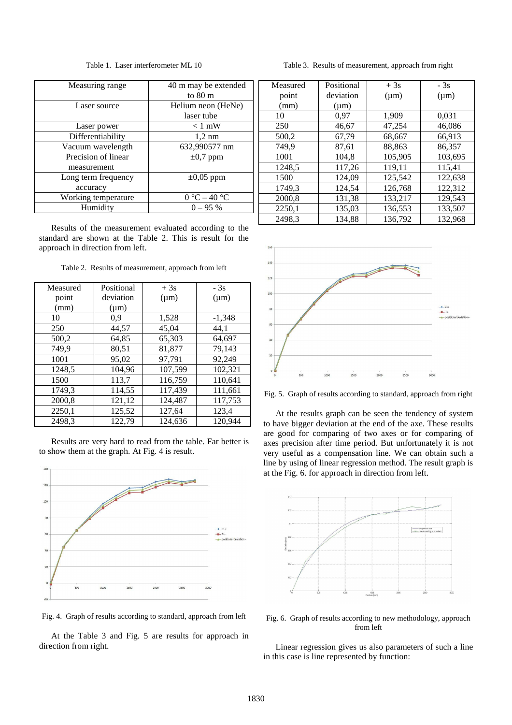Table 1. Laser interferometer ML 10

| Measuring range     | 40 m may be extended<br>to $80 \text{ m}$ |  |
|---------------------|-------------------------------------------|--|
|                     |                                           |  |
| Laser source        | Helium neon (HeNe)                        |  |
|                     | laser tube                                |  |
| Laser power         | $< 1$ mW                                  |  |
| Differentiability   | $1,2 \text{ nm}$                          |  |
| Vacuum wavelength   | 632,990577 nm                             |  |
| Precision of linear | $\pm 0.7$ ppm                             |  |
| measurement         |                                           |  |
| Long term frequency | $\pm 0.05$ ppm                            |  |
| accuracy            |                                           |  |
| Working temperature | $0 °C - 40 °C$                            |  |
| Humidity            | $0 - 95\%$                                |  |

Results of the measurement evaluated according to the standard are shown at the Table 2. This is result for the approach in direction from left.

Table 2. Results of measurement, approach from left

| Measured | Positional | $+3s$     | $-3s$     |
|----------|------------|-----------|-----------|
| point    | deviation  | $(\mu m)$ | $(\mu m)$ |
| (mm)     | $(\mu m)$  |           |           |
| 10       | 0.9        | 1,528     | $-1,348$  |
| 250      | 44,57      | 45,04     | 44.1      |
| 500,2    | 64.85      | 65,303    | 64.697    |
| 749,9    | 80,51      | 81,877    | 79,143    |
| 1001     | 95,02      | 97,791    | 92,249    |
| 1248,5   | 104.96     | 107,599   | 102,321   |
| 1500     | 113,7      | 116,759   | 110,641   |
| 1749,3   | 114,55     | 117,439   | 111,661   |
| 2000,8   | 121,12     | 124,487   | 117,753   |
| 2250,1   | 125,52     | 127,64    | 123,4     |
| 2498,3   | 122,79     | 124,636   | 120,944   |

Results are very hard to read from the table. Far better is to show them at the graph. At Fig. 4 is result.



Fig. 4. Graph of results according to standard, approach from left

At the Table 3 and Fig. 5 are results for approach in direction from right.

Measured point (mm) Positional deviation  $(\mu m)$  $+3s$  $(\mu m)$  $-3s$  $(\mu m)$ 10 0,97 1,909 0,031 250 46,67 47,254 46,086 500,2 67,79 68,667 66,913 749,9 | 87,61 | 88,863 | 86,357 1001 104.8 105,905 103,695 1248,5 117,26 119,11 115,41 1500 124,09 125,542 122,638 1749,3 124,54 126,768 122,312 2000,8 131,38 133,217 129,543 2250,1 135,03 136,553 133,507 2498,3 134,88 136,792 132,968



Fig. 5. Graph of results according to standard, approach from right

At the results graph can be seen the tendency of system to have bigger deviation at the end of the axe. These results are good for comparing of two axes or for comparing of axes precision after time period. But unfortunately it is not very useful as a compensation line. We can obtain such a line by using of linear regression method. The result graph is at the Fig. 6. for approach in direction from left.



Fig. 6. Graph of results according to new methodology, approach from left

Linear regression gives us also parameters of such a line in this case is line represented by function:

Table 3. Results of measurement, approach from right